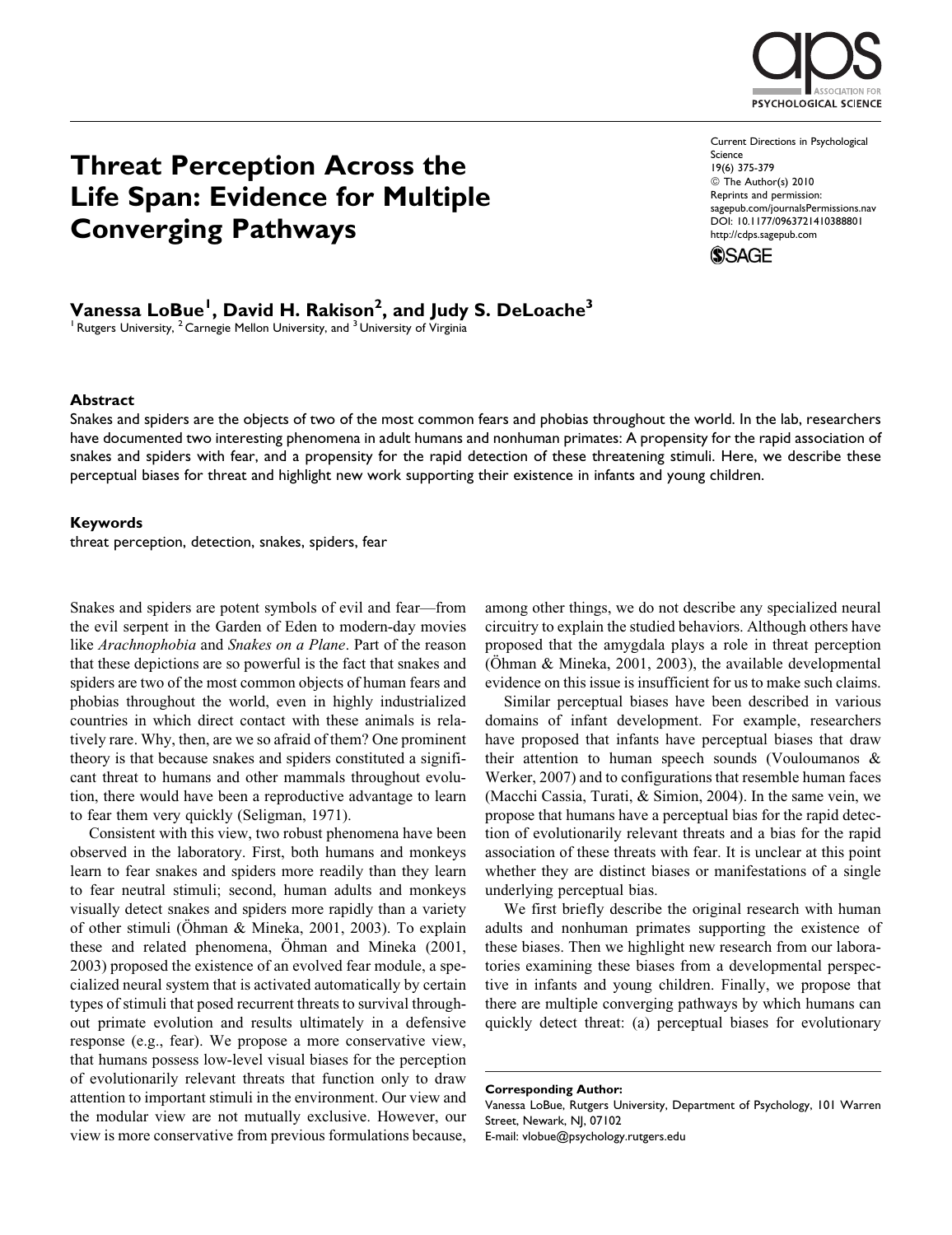

Threat Perception Across the Life Span: Evidence for Multiple Converging Pathways

Current Directions in Psychological Science 19(6) 375-379 © The Author(s) 2010 Reprints and permission: sagepub.com/journalsPermissions.nav DOI: 10.1177/0963721410388801 http://cdps.sagepub.com



Vanessa LoBue<sup>l</sup>, David H. Rakison<sup>2</sup>, and Judy S. DeLoache<sup>3</sup>

 $1$  Rutgers University,  $2$  Carnegie Mellon University, and  $3$  University of Virginia

### **Abstract**

Snakes and spiders are the objects of two of the most common fears and phobias throughout the world. In the lab, researchers have documented two interesting phenomena in adult humans and nonhuman primates: A propensity for the rapid association of snakes and spiders with fear, and a propensity for the rapid detection of these threatening stimuli. Here, we describe these perceptual biases for threat and highlight new work supporting their existence in infants and young children.

### Keywords

threat perception, detection, snakes, spiders, fear

Snakes and spiders are potent symbols of evil and fear—from the evil serpent in the Garden of Eden to modern-day movies like *Arachnophobia* and *Snakes on a Plane*. Part of the reason that these depictions are so powerful is the fact that snakes and spiders are two of the most common objects of human fears and phobias throughout the world, even in highly industrialized countries in which direct contact with these animals is relatively rare. Why, then, are we so afraid of them? One prominent theory is that because snakes and spiders constituted a significant threat to humans and other mammals throughout evolution, there would have been a reproductive advantage to learn to fear them very quickly (Seligman, 1971).

Consistent with this view, two robust phenomena have been observed in the laboratory. First, both humans and monkeys learn to fear snakes and spiders more readily than they learn to fear neutral stimuli; second, human adults and monkeys visually detect snakes and spiders more rapidly than a variety of other stimuli (Öhman & Mineka, 2001, 2003). To explain these and related phenomena, Ohman and Mineka (2001, 2003) proposed the existence of an evolved fear module, a specialized neural system that is activated automatically by certain types of stimuli that posed recurrent threats to survival throughout primate evolution and results ultimately in a defensive response (e.g., fear). We propose a more conservative view, that humans possess low-level visual biases for the perception of evolutionarily relevant threats that function only to draw attention to important stimuli in the environment. Our view and the modular view are not mutually exclusive. However, our view is more conservative from previous formulations because,

among other things, we do not describe any specialized neural circuitry to explain the studied behaviors. Although others have proposed that the amygdala plays a role in threat perception ( $\ddot{\text{O}}$ hman & Mineka, 2001, 2003), the available developmental evidence on this issue is insufficient for us to make such claims.

Similar perceptual biases have been described in various domains of infant development. For example, researchers have proposed that infants have perceptual biases that draw their attention to human speech sounds (Vouloumanos & Werker, 2007) and to configurations that resemble human faces (Macchi Cassia, Turati, & Simion, 2004). In the same vein, we propose that humans have a perceptual bias for the rapid detection of evolutionarily relevant threats and a bias for the rapid association of these threats with fear. It is unclear at this point whether they are distinct biases or manifestations of a single underlying perceptual bias.

We first briefly describe the original research with human adults and nonhuman primates supporting the existence of these biases. Then we highlight new research from our laboratories examining these biases from a developmental perspective in infants and young children. Finally, we propose that there are multiple converging pathways by which humans can quickly detect threat: (a) perceptual biases for evolutionary

E-mail: vlobue@psychology.rutgers.edu

Corresponding Author:

Vanessa LoBue, Rutgers University, Department of Psychology, 101 Warren Street, Newark, NJ, 07102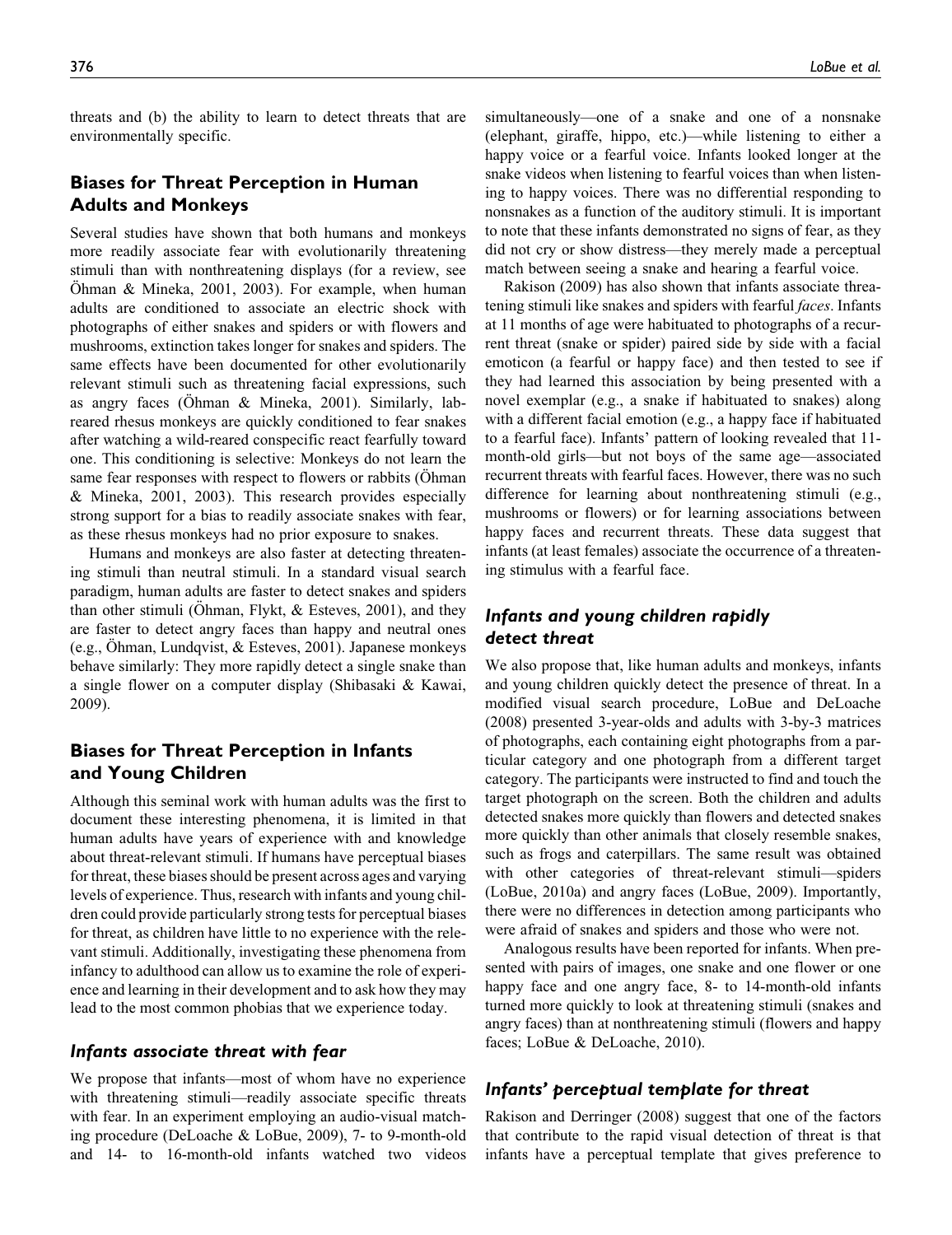threats and (b) the ability to learn to detect threats that are environmentally specific.

# Biases for Threat Perception in Human Adults and Monkeys

Several studies have shown that both humans and monkeys more readily associate fear with evolutionarily threatening stimuli than with nonthreatening displays (for a review, see  $Othman \& Mineka, 2001, 2003$ . For example, when human adults are conditioned to associate an electric shock with photographs of either snakes and spiders or with flowers and mushrooms, extinction takes longer for snakes and spiders. The same effects have been documented for other evolutionarily relevant stimuli such as threatening facial expressions, such as angry faces (Öhman & Mineka, 2001). Similarly, labreared rhesus monkeys are quickly conditioned to fear snakes after watching a wild-reared conspecific react fearfully toward one. This conditioning is selective: Monkeys do not learn the same fear responses with respect to flowers or rabbits (Ohman & Mineka, 2001, 2003). This research provides especially strong support for a bias to readily associate snakes with fear, as these rhesus monkeys had no prior exposure to snakes.

Humans and monkeys are also faster at detecting threatening stimuli than neutral stimuli. In a standard visual search paradigm, human adults are faster to detect snakes and spiders than other stimuli (Ohman, Flykt,  $&$  Esteves, 2001), and they are faster to detect angry faces than happy and neutral ones (e.g., Öhman, Lundqvist,  $&$  Esteves, 2001). Japanese monkeys behave similarly: They more rapidly detect a single snake than a single flower on a computer display (Shibasaki & Kawai, 2009).

# Biases for Threat Perception in Infants and Young Children

Although this seminal work with human adults was the first to document these interesting phenomena, it is limited in that human adults have years of experience with and knowledge about threat-relevant stimuli. If humans have perceptual biases for threat, these biases should be present across ages and varying levels of experience. Thus, research with infants and young children could provide particularly strong tests for perceptual biases for threat, as children have little to no experience with the relevant stimuli. Additionally, investigating these phenomena from infancy to adulthood can allow us to examine the role of experience and learning in their development and to ask how they may lead to the most common phobias that we experience today.

## Infants associate threat with fear

We propose that infants—most of whom have no experience with threatening stimuli—readily associate specific threats with fear. In an experiment employing an audio-visual matching procedure (DeLoache & LoBue, 2009), 7- to 9-month-old and 14- to 16-month-old infants watched two videos

simultaneously—one of a snake and one of a nonsnake (elephant, giraffe, hippo, etc.)—while listening to either a happy voice or a fearful voice. Infants looked longer at the snake videos when listening to fearful voices than when listening to happy voices. There was no differential responding to nonsnakes as a function of the auditory stimuli. It is important to note that these infants demonstrated no signs of fear, as they did not cry or show distress—they merely made a perceptual match between seeing a snake and hearing a fearful voice.

Rakison (2009) has also shown that infants associate threatening stimuli like snakes and spiders with fearful *faces*. Infants at 11 months of age were habituated to photographs of a recurrent threat (snake or spider) paired side by side with a facial emoticon (a fearful or happy face) and then tested to see if they had learned this association by being presented with a novel exemplar (e.g., a snake if habituated to snakes) along with a different facial emotion (e.g., a happy face if habituated to a fearful face). Infants' pattern of looking revealed that 11 month-old girls—but not boys of the same age—associated recurrent threats with fearful faces. However, there was no such difference for learning about nonthreatening stimuli (e.g., mushrooms or flowers) or for learning associations between happy faces and recurrent threats. These data suggest that infants (at least females) associate the occurrence of a threatening stimulus with a fearful face.

# Infants and young children rapidly detect threat

We also propose that, like human adults and monkeys, infants and young children quickly detect the presence of threat. In a modified visual search procedure, LoBue and DeLoache (2008) presented 3-year-olds and adults with 3-by-3 matrices of photographs, each containing eight photographs from a particular category and one photograph from a different target category. The participants were instructed to find and touch the target photograph on the screen. Both the children and adults detected snakes more quickly than flowers and detected snakes more quickly than other animals that closely resemble snakes, such as frogs and caterpillars. The same result was obtained with other categories of threat-relevant stimuli—spiders (LoBue, 2010a) and angry faces (LoBue, 2009). Importantly, there were no differences in detection among participants who were afraid of snakes and spiders and those who were not.

Analogous results have been reported for infants. When presented with pairs of images, one snake and one flower or one happy face and one angry face, 8- to 14-month-old infants turned more quickly to look at threatening stimuli (snakes and angry faces) than at nonthreatening stimuli (flowers and happy faces; LoBue & DeLoache, 2010).

## Infants' perceptual template for threat

Rakison and Derringer (2008) suggest that one of the factors that contribute to the rapid visual detection of threat is that infants have a perceptual template that gives preference to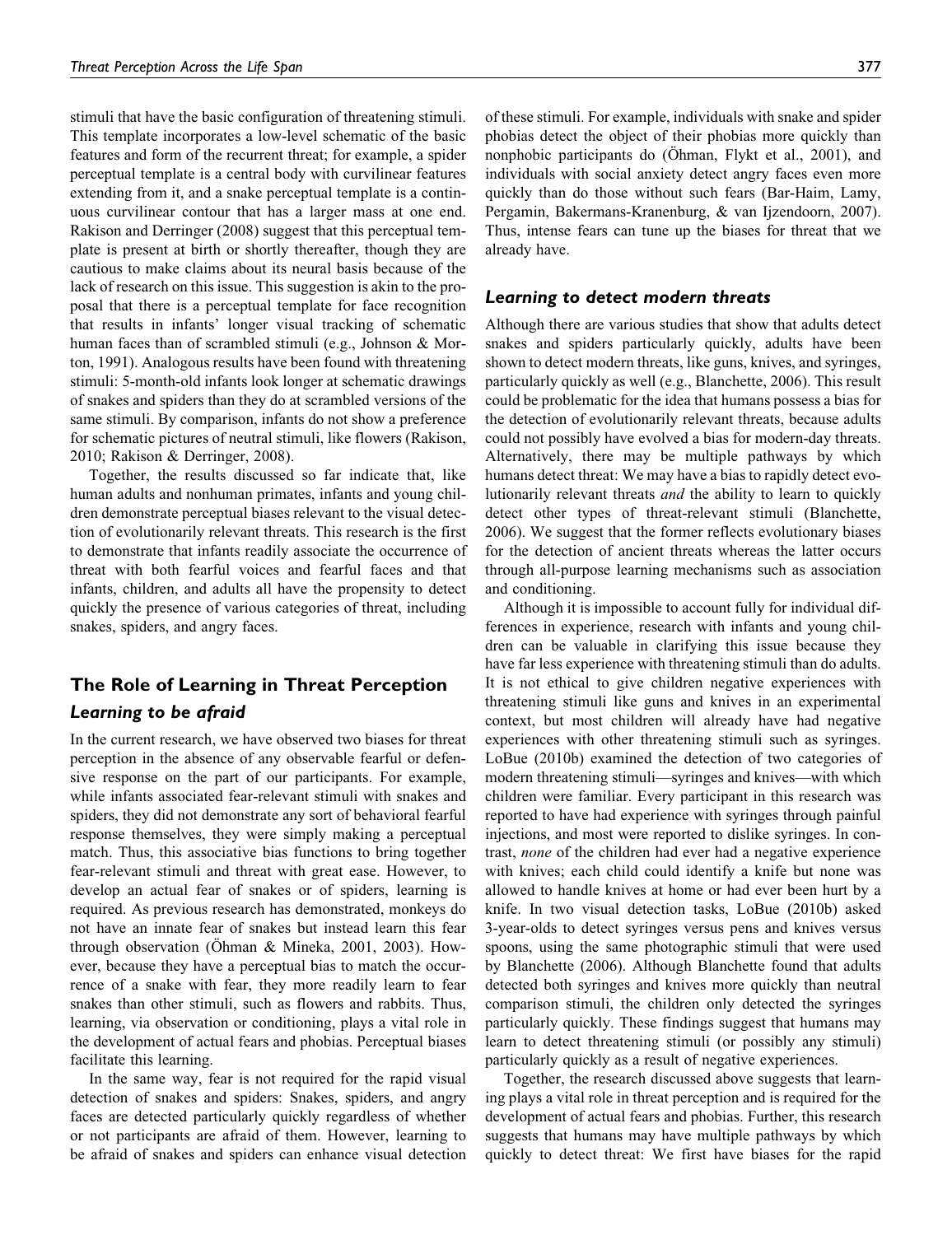stimuli that have the basic configuration of threatening stimuli. This template incorporates a low-level schematic of the basic features and form of the recurrent threat; for example, a spider perceptual template is a central body with curvilinear features extending from it, and a snake perceptual template is a continuous curvilinear contour that has a larger mass at one end. Rakison and Derringer (2008) suggest that this perceptual template is present at birth or shortly thereafter, though they are cautious to make claims about its neural basis because of the lack of research on this issue. This suggestion is akin to the proposal that there is a perceptual template for face recognition that results in infants' longer visual tracking of schematic human faces than of scrambled stimuli (e.g., Johnson & Morton, 1991). Analogous results have been found with threatening stimuli: 5-month-old infants look longer at schematic drawings of snakes and spiders than they do at scrambled versions of the same stimuli. By comparison, infants do not show a preference for schematic pictures of neutral stimuli, like flowers (Rakison, 2010; Rakison & Derringer, 2008).

Together, the results discussed so far indicate that, like human adults and nonhuman primates, infants and young children demonstrate perceptual biases relevant to the visual detection of evolutionarily relevant threats. This research is the first to demonstrate that infants readily associate the occurrence of threat with both fearful voices and fearful faces and that infants, children, and adults all have the propensity to detect quickly the presence of various categories of threat, including snakes, spiders, and angry faces.

# The Role of Learning in Threat Perception Learning to be afraid

In the current research, we have observed two biases for threat perception in the absence of any observable fearful or defensive response on the part of our participants. For example, while infants associated fear-relevant stimuli with snakes and spiders, they did not demonstrate any sort of behavioral fearful response themselves, they were simply making a perceptual match. Thus, this associative bias functions to bring together fear-relevant stimuli and threat with great ease. However, to develop an actual fear of snakes or of spiders, learning is required. As previous research has demonstrated, monkeys do not have an innate fear of snakes but instead learn this fear through observation (Ohman & Mineka, 2001, 2003). However, because they have a perceptual bias to match the occurrence of a snake with fear, they more readily learn to fear snakes than other stimuli, such as flowers and rabbits. Thus, learning, via observation or conditioning, plays a vital role in the development of actual fears and phobias. Perceptual biases facilitate this learning.

In the same way, fear is not required for the rapid visual detection of snakes and spiders: Snakes, spiders, and angry faces are detected particularly quickly regardless of whether or not participants are afraid of them. However, learning to be afraid of snakes and spiders can enhance visual detection

of these stimuli. For example, individuals with snake and spider phobias detect the object of their phobias more quickly than nonphobic participants do (Ohman, Flykt et al., 2001), and individuals with social anxiety detect angry faces even more quickly than do those without such fears (Bar-Haim, Lamy, Pergamin, Bakermans-Kranenburg, & van Ijzendoorn, 2007). Thus, intense fears can tune up the biases for threat that we already have.

### Learning to detect modern threats

Although there are various studies that show that adults detect snakes and spiders particularly quickly, adults have been shown to detect modern threats, like guns, knives, and syringes, particularly quickly as well (e.g., Blanchette, 2006). This result could be problematic for the idea that humans possess a bias for the detection of evolutionarily relevant threats, because adults could not possibly have evolved a bias for modern-day threats. Alternatively, there may be multiple pathways by which humans detect threat: We may have a bias to rapidly detect evolutionarily relevant threats and the ability to learn to quickly detect other types of threat-relevant stimuli (Blanchette, 2006). We suggest that the former reflects evolutionary biases for the detection of ancient threats whereas the latter occurs through all-purpose learning mechanisms such as association and conditioning.

Although it is impossible to account fully for individual differences in experience, research with infants and young children can be valuable in clarifying this issue because they have far less experience with threatening stimuli than do adults. It is not ethical to give children negative experiences with threatening stimuli like guns and knives in an experimental context, but most children will already have had negative experiences with other threatening stimuli such as syringes. LoBue (2010b) examined the detection of two categories of modern threatening stimuli—syringes and knives—with which children were familiar. Every participant in this research was reported to have had experience with syringes through painful injections, and most were reported to dislike syringes. In contrast, none of the children had ever had a negative experience with knives; each child could identify a knife but none was allowed to handle knives at home or had ever been hurt by a knife. In two visual detection tasks, LoBue (2010b) asked 3-year-olds to detect syringes versus pens and knives versus spoons, using the same photographic stimuli that were used by Blanchette (2006). Although Blanchette found that adults detected both syringes and knives more quickly than neutral comparison stimuli, the children only detected the syringes particularly quickly. These findings suggest that humans may learn to detect threatening stimuli (or possibly any stimuli) particularly quickly as a result of negative experiences.

Together, the research discussed above suggests that learning plays a vital role in threat perception and is required for the development of actual fears and phobias. Further, this research suggests that humans may have multiple pathways by which quickly to detect threat: We first have biases for the rapid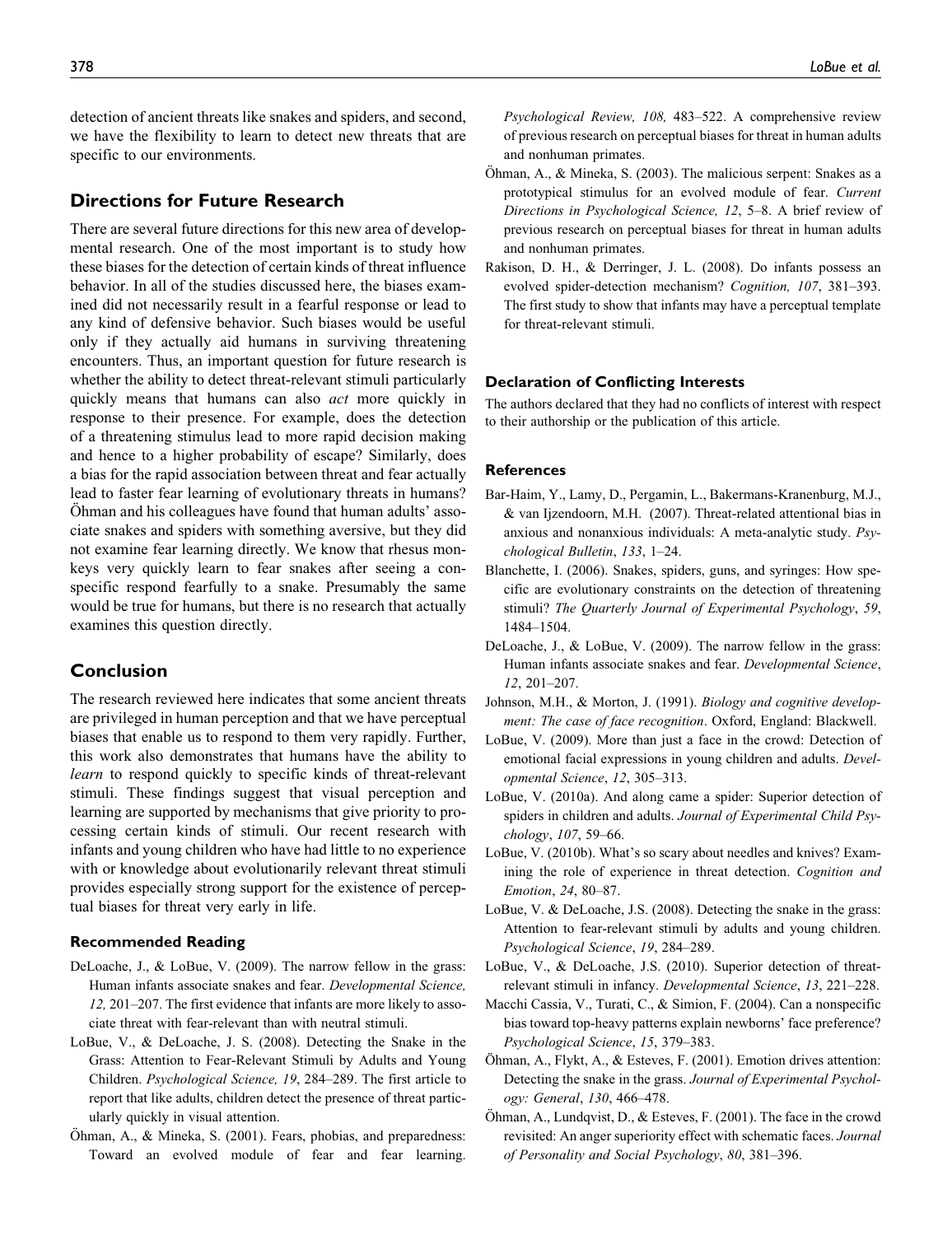detection of ancient threats like snakes and spiders, and second, we have the flexibility to learn to detect new threats that are specific to our environments.

## Directions for Future Research

There are several future directions for this new area of developmental research. One of the most important is to study how these biases for the detection of certain kinds of threat influence behavior. In all of the studies discussed here, the biases examined did not necessarily result in a fearful response or lead to any kind of defensive behavior. Such biases would be useful only if they actually aid humans in surviving threatening encounters. Thus, an important question for future research is whether the ability to detect threat-relevant stimuli particularly quickly means that humans can also *act* more quickly in response to their presence. For example, does the detection of a threatening stimulus lead to more rapid decision making and hence to a higher probability of escape? Similarly, does a bias for the rapid association between threat and fear actually lead to faster fear learning of evolutionary threats in humans? Ohman and his colleagues have found that human adults' associate snakes and spiders with something aversive, but they did not examine fear learning directly. We know that rhesus monkeys very quickly learn to fear snakes after seeing a conspecific respond fearfully to a snake. Presumably the same would be true for humans, but there is no research that actually examines this question directly.

## Conclusion

The research reviewed here indicates that some ancient threats are privileged in human perception and that we have perceptual biases that enable us to respond to them very rapidly. Further, this work also demonstrates that humans have the ability to learn to respond quickly to specific kinds of threat-relevant stimuli. These findings suggest that visual perception and learning are supported by mechanisms that give priority to processing certain kinds of stimuli. Our recent research with infants and young children who have had little to no experience with or knowledge about evolutionarily relevant threat stimuli provides especially strong support for the existence of perceptual biases for threat very early in life.

### Recommended Reading

- DeLoache, J., & LoBue, V. (2009). The narrow fellow in the grass: Human infants associate snakes and fear. Developmental Science, 12, 201–207. The first evidence that infants are more likely to associate threat with fear-relevant than with neutral stimuli.
- LoBue, V., & DeLoache, J. S. (2008). Detecting the Snake in the Grass: Attention to Fear-Relevant Stimuli by Adults and Young Children. Psychological Science, 19, 284–289. The first article to report that like adults, children detect the presence of threat particularly quickly in visual attention.
- $\ddot{\text{Ohman}}$ , A., & Mineka, S. (2001). Fears, phobias, and preparedness: Toward an evolved module of fear and fear learning.

Psychological Review, 108, 483–522. A comprehensive review of previous research on perceptual biases for threat in human adults and nonhuman primates.

- Öhman, A., & Mineka, S. (2003). The malicious serpent: Snakes as a prototypical stimulus for an evolved module of fear. Current Directions in Psychological Science, 12, 5–8. A brief review of previous research on perceptual biases for threat in human adults and nonhuman primates.
- Rakison, D. H., & Derringer, J. L. (2008). Do infants possess an evolved spider-detection mechanism? Cognition, 107, 381–393. The first study to show that infants may have a perceptual template for threat-relevant stimuli.

### Declaration of Conflicting Interests

The authors declared that they had no conflicts of interest with respect to their authorship or the publication of this article.

### References

- Bar-Haim, Y., Lamy, D., Pergamin, L., Bakermans-Kranenburg, M.J., & van Ijzendoorn, M.H. (2007). Threat-related attentional bias in anxious and nonanxious individuals: A meta-analytic study. Psychological Bulletin, 133, 1–24.
- Blanchette, I. (2006). Snakes, spiders, guns, and syringes: How specific are evolutionary constraints on the detection of threatening stimuli? The Quarterly Journal of Experimental Psychology, 59, 1484–1504.
- DeLoache, J., & LoBue, V. (2009). The narrow fellow in the grass: Human infants associate snakes and fear. Developmental Science, 12, 201–207.
- Johnson, M.H., & Morton, J. (1991). Biology and cognitive development: The case of face recognition. Oxford, England: Blackwell.
- LoBue, V. (2009). More than just a face in the crowd: Detection of emotional facial expressions in young children and adults. Developmental Science, 12, 305–313.
- LoBue, V. (2010a). And along came a spider: Superior detection of spiders in children and adults. Journal of Experimental Child Psychology, 107, 59–66.
- LoBue, V. (2010b). What's so scary about needles and knives? Examining the role of experience in threat detection. Cognition and Emotion, 24, 80–87.
- LoBue, V. & DeLoache, J.S. (2008). Detecting the snake in the grass: Attention to fear-relevant stimuli by adults and young children. Psychological Science, 19, 284–289.
- LoBue, V., & DeLoache, J.S. (2010). Superior detection of threatrelevant stimuli in infancy. Developmental Science, 13, 221–228.
- Macchi Cassia, V., Turati, C., & Simion, F. (2004). Can a nonspecific bias toward top-heavy patterns explain newborns' face preference? Psychological Science, 15, 379–383.
- Öhman, A., Flykt, A., & Esteves, F. (2001). Emotion drives attention: Detecting the snake in the grass. Journal of Experimental Psychology: General, 130, 466–478.
- $\ddot{\text{O}}$ hman, A., Lundqvist, D., & Esteves, F. (2001). The face in the crowd revisited: An anger superiority effect with schematic faces. Journal of Personality and Social Psychology, 80, 381–396.